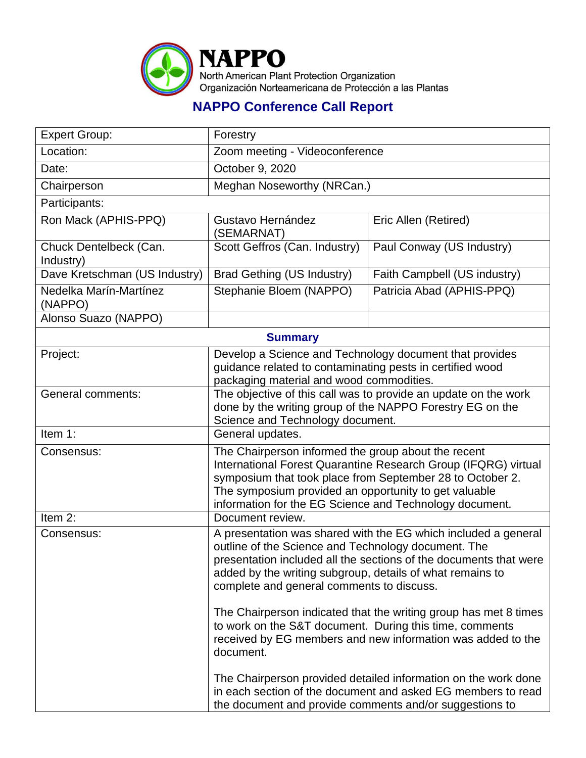

## **NAPPO Conference Call Report**

| <b>Expert Group:</b>                | Forestry                                                                                                                                                                                                                                                                                                                                                                                             |                              |  |
|-------------------------------------|------------------------------------------------------------------------------------------------------------------------------------------------------------------------------------------------------------------------------------------------------------------------------------------------------------------------------------------------------------------------------------------------------|------------------------------|--|
| Location:                           | Zoom meeting - Videoconference                                                                                                                                                                                                                                                                                                                                                                       |                              |  |
| Date:                               | October 9, 2020                                                                                                                                                                                                                                                                                                                                                                                      |                              |  |
| Chairperson                         | Meghan Noseworthy (NRCan.)                                                                                                                                                                                                                                                                                                                                                                           |                              |  |
| Participants:                       |                                                                                                                                                                                                                                                                                                                                                                                                      |                              |  |
| Ron Mack (APHIS-PPQ)                | Gustavo Hernández<br>(SEMARNAT)                                                                                                                                                                                                                                                                                                                                                                      | Eric Allen (Retired)         |  |
| Chuck Dentelbeck (Can.<br>Industry) | Scott Geffros (Can. Industry)                                                                                                                                                                                                                                                                                                                                                                        | Paul Conway (US Industry)    |  |
| Dave Kretschman (US Industry)       | <b>Brad Gething (US Industry)</b>                                                                                                                                                                                                                                                                                                                                                                    | Faith Campbell (US industry) |  |
| Nedelka Marín-Martínez<br>(NAPPO)   | Stephanie Bloem (NAPPO)                                                                                                                                                                                                                                                                                                                                                                              | Patricia Abad (APHIS-PPQ)    |  |
| Alonso Suazo (NAPPO)                |                                                                                                                                                                                                                                                                                                                                                                                                      |                              |  |
| <b>Summary</b>                      |                                                                                                                                                                                                                                                                                                                                                                                                      |                              |  |
| Project:                            | Develop a Science and Technology document that provides<br>guidance related to contaminating pests in certified wood<br>packaging material and wood commodities.                                                                                                                                                                                                                                     |                              |  |
| <b>General comments:</b>            | The objective of this call was to provide an update on the work<br>done by the writing group of the NAPPO Forestry EG on the<br>Science and Technology document.                                                                                                                                                                                                                                     |                              |  |
| Item 1:                             | General updates.                                                                                                                                                                                                                                                                                                                                                                                     |                              |  |
| Consensus:                          | The Chairperson informed the group about the recent<br>International Forest Quarantine Research Group (IFQRG) virtual<br>symposium that took place from September 28 to October 2.<br>The symposium provided an opportunity to get valuable<br>information for the EG Science and Technology document.                                                                                               |                              |  |
| Item 2:                             | Document review.                                                                                                                                                                                                                                                                                                                                                                                     |                              |  |
| Consensus:                          | A presentation was shared with the EG which included a general<br>outline of the Science and Technology document. The<br>presentation included all the sections of the documents that were<br>added by the writing subgroup, details of what remains to<br>complete and general comments to discuss.                                                                                                 |                              |  |
|                                     | The Chairperson indicated that the writing group has met 8 times<br>to work on the S&T document. During this time, comments<br>received by EG members and new information was added to the<br>document.<br>The Chairperson provided detailed information on the work done<br>in each section of the document and asked EG members to read<br>the document and provide comments and/or suggestions to |                              |  |
|                                     |                                                                                                                                                                                                                                                                                                                                                                                                      |                              |  |